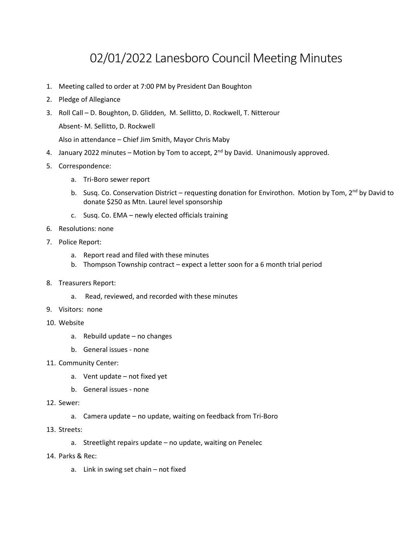## 02/01/2022 Lanesboro Council Meeting Minutes

- 1. Meeting called to order at 7:00 PM by President Dan Boughton
- 2. Pledge of Allegiance
- 3. Roll Call D. Boughton, D. Glidden, M. Sellitto, D. Rockwell, T. Nitterour

Absent- M. Sellitto, D. Rockwell

Also in attendance – Chief Jim Smith, Mayor Chris Maby

- 4. January 2022 minutes Motion by Tom to accept,  $2^{nd}$  by David. Unanimously approved.
- 5. Correspondence:
	- a. Tri-Boro sewer report
	- b. Susq. Co. Conservation District requesting donation for Envirothon. Motion by Tom, 2<sup>nd</sup> by David to donate \$250 as Mtn. Laurel level sponsorship
	- c. Susq. Co. EMA newly elected officials training
- 6. Resolutions: none
- 7. Police Report:
	- a. Report read and filed with these minutes
	- b. Thompson Township contract expect a letter soon for a 6 month trial period
- 8. Treasurers Report:
	- a. Read, reviewed, and recorded with these minutes
- 9. Visitors: none
- 10. Website
	- a. Rebuild update no changes
	- b. General issues none
- 11. Community Center:
	- a. Vent update not fixed yet
	- b. General issues none
- 12. Sewer:
	- a. Camera update no update, waiting on feedback from Tri-Boro
- 13. Streets:
	- a. Streetlight repairs update no update, waiting on Penelec
- 14. Parks & Rec:
	- a. Link in swing set chain not fixed